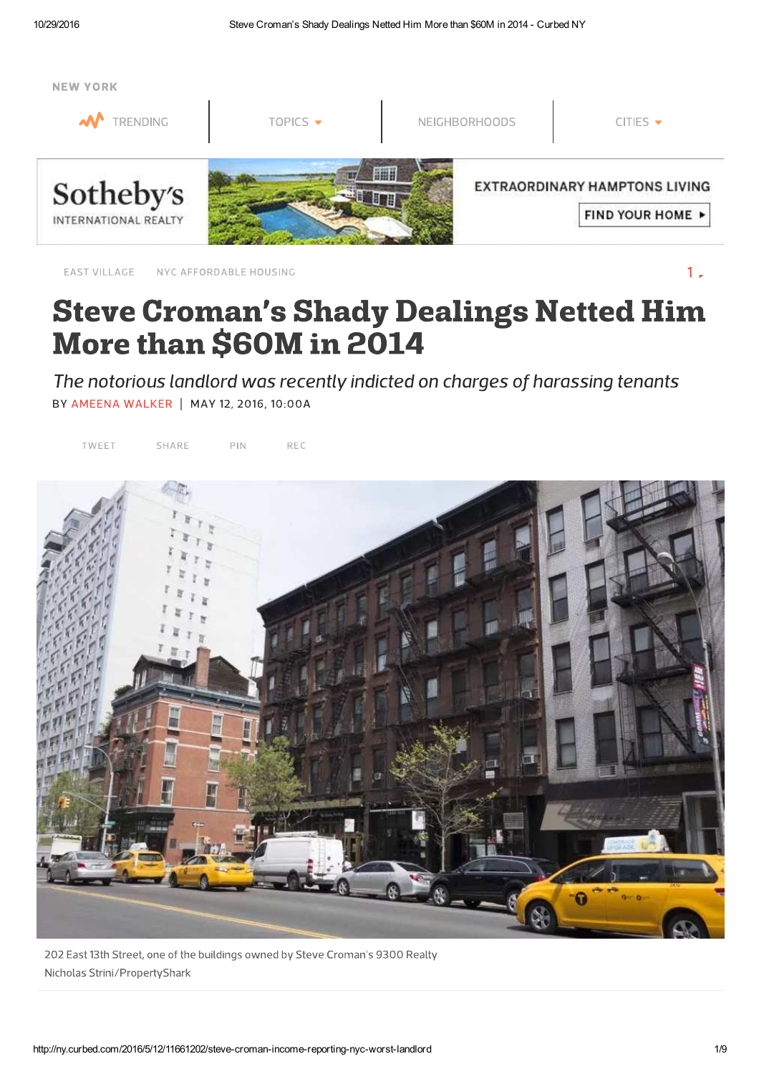

NYC AFFORDABLE HOUSING EAST VILLAGE

 $1.$ 

## **Steve Croman's Shady Dealings Netted Him** More than \$60M in 2014

The notorious landlord was recently indicted on charges of harassing tenants BY AMEENA WALKER | MAY 12, 2016, 10:00A

TWEET SHARE  $PIN$ REC



202 East 13th Street, one of the buildings owned by Steve Croman's 9300 Realty Nicholas Strini/PropertyShark